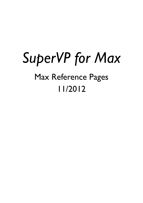# *SuperVP for Max*  Max Reference Pages 11/2012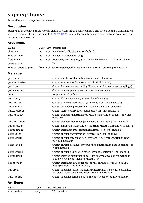# supervp.trans~

*SuperVP input stream processing module*

#### **Description**

SuperVP is an extended phase vocoder engine providing high-quality temporal and spectal sound transformations as well as cross-synthesis. The module supervp.trans~ allows for directly applying spectral transformations to an incoming sound stream.

#### **Arguments**

| Name                      |     | Type Opt Description                                                                             |
|---------------------------|-----|--------------------------------------------------------------------------------------------------|
| channels                  | int | <b>opt</b> Number of audio channels (default: 1)                                                 |
| window size               | int | opt window size (default: 1024)                                                                  |
| frequency<br>oversampling | int | opt Frequency oversampling, STFT size = windowsize $*$ 2 $\land$ fftover (default:<br>$\sigma$ ) |
| window oversampling       |     | float opt Oversampling, STFT hop size = windowsize / oversamp (default: 4)                       |

| getchannels       |             | Output number of channels (channels <int: channels="">)</int:>                                                                                                 |
|-------------------|-------------|----------------------------------------------------------------------------------------------------------------------------------------------------------------|
| getwindowsize     |             | Output window size (windowsize <int: size="" window="">)</int:>                                                                                                |
| getfftover        |             | Output frequency oversampling (fftover <int: frequency="" oversampling="">)</int:>                                                                             |
| getoversamp       |             | Output oversampling (oversamp <int: oversampling="">)</int:>                                                                                                   |
| reset             |             | <b>Empty internal buffers</b>                                                                                                                                  |
| getlatency        |             | Output i/o latency in ms (latency <float: latency="">)</float:>                                                                                                |
| gettransients     |             | Output transient preservation (transients <'on' 'off': enabled>)                                                                                               |
| getshapeinv       |             | Output wave form preservation (shapeiny <'on' 'off': enabled>)                                                                                                 |
| getstereopres     |             | Output stereo preservation (stereopres <'on' 'off': enabled>)                                                                                                  |
| gettranspose      |             | Output transposition (transpose <float: cent="" in="" transposition=""> or &lt;'off':<br/>disabled&gt;)</float:>                                               |
| gettransmode      |             | Output transposition mode (transmode <'time' 'auto' 'freq': mode>)                                                                                             |
| getmintrans       |             | Output minimum transposition (mintrans <float: cent="" in="" transposition="">)</float:>                                                                       |
| getmaxtrans       |             | Output maximum transposition (maxtrans <'on' 'off': enabled>)                                                                                                  |
| getenvpres        |             | Output envelope preservation (envpres <'on' 'off': enabled>)                                                                                                   |
| getenvtrans       |             | Output envelope transposition (envtrans <float: cent="" in="" transposition=""><br/>or <math>\langle \text{off}: \text{disabeled} \rangle</math></float:>      |
| getenvscale       |             | Output envelope scaling (envscale <list: mean="" scaling="" scaling,="" timbre=""> or<br/>&lt;'off': disabled&gt;)</list:>                                     |
| getenvmode        |             | Output envelope estimation mode (envmode <'trueenv' 'lpc': mode>)                                                                                              |
| getmaxfreq        |             | Output maxfreq maximum fo in Hz for spectral envelope estimation in<br>true envelope mode (maxfreq <float: freq="">)</float:>                                  |
| getlpcorder       |             | Output maximum LPC order for spectral envelope estimation in LPC<br>mode (lpcorder <int: lpc="" order="">)</int:>                                              |
| getremix          |             | Output sinusoids/noise/transients remix (remix <list: noise,<br="" sinusoids,="">transients, relax time, noise error &gt; or &lt;'off': disabled &gt;)</list:> |
| getsinmode        |             | Output sinusoids remix mode (sinmode <'vocoder' 'additive': mode>)                                                                                             |
| <b>Attributes</b> |             |                                                                                                                                                                |
| Name              | <b>Type</b> | $g/s$ Description                                                                                                                                              |
| windowsize        | long        | <b>Window Size</b>                                                                                                                                             |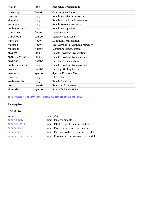| fftover          | long                | <b>Frequency Oversampling</b>        |
|------------------|---------------------|--------------------------------------|
| oversamp         | float <sub>64</sub> | <b>Oversampling Factor</b>           |
| transients       | long                | <b>Enable Transient Preservation</b> |
| shapeinv         | long                | <b>Enable Wave Form Preservation</b> |
| stereopres       | long                | <b>Enable Stereo Preservation</b>    |
| enable-transpose | long                | <b>Enable Transposition</b>          |
| transpose        | float <sub>64</sub> | Transposition                        |
| transmode        | symbol              | <b>Transposition Mode</b>            |
| mintrans         | float64             | <b>Minimum Transposition</b>         |
| maxfreq          | float64             | True Envelope Maximum Frequency      |
| maxtrans         | float64             | <b>Maximum Transposition</b>         |
| envpres          | long                | <b>Enable Envelope Preservation</b>  |
| enable-envtrans  | long                | <b>Enable Envelope Transposition</b> |
| envtrans         | float <sub>64</sub> | <b>Envelope Transposition</b>        |
| enable-envscale  | long                | <b>Enable Envelope Transposition</b> |
| envscale         | float64             | <b>Envelope Scaling Factor</b>       |
| envmode          | symbol              | Spectral Envelope Mode               |
| Ipcorder         | long                | <b>LPC</b> Order                     |
| enable-remix     | long                | <b>Enable Remixing</b>               |
| remix            | float64             | <b>Remixing Parameters</b>           |
| sinmode          | symbol              | Sinusoids Remix Mode                 |

#### [Information for box attributes common to all objects](file:///Applications/Max5/patches/docs/refpages/max-ref/jbox.maxref.xml)

## **Examples**

| Name                  | Description                                  |
|-----------------------|----------------------------------------------|
| supervp.play~         | SuperVP player module                        |
| supervp.scrub~        | SuperVP buffer transformation module         |
| $supervp.ring \sim$   | SuperVP ring-buffer processing module        |
| supervp.cross~        | SuperVP generalized cross-synthesis module   |
| supervp.sourcefilter~ | SuperVP source-filter cross-synthesis module |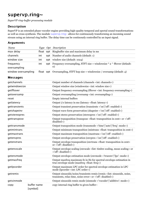# supervp.ring~

*SuperVP ring-buffer processing module*

#### **Description**

SuperVP is an extended phase vocoder engine providing high-quality temporal and spectal sound transformations as well as cross-synthesis. The module supervp.ring~ allows for continuously transforming an incoming sound stream using an internal ring buffer. The delay time can be continously controlled by an input signal.

#### **Arguments**

| Name                |     | Type Opt Description                                                               |
|---------------------|-----|------------------------------------------------------------------------------------|
| max delay           |     | float opt Ringbuffer size and maximum delay in ms                                  |
| channels            | int | opt Number of audio channels (default: 1)                                          |
| window size         | int | <b>opt</b> window size (default: 1024)                                             |
| frequency           | int | opt Frequency oversampling, STFT size = windowsize $*$ 2 $\land$ fftover (default: |
| oversampling        |     | $\Omega$                                                                           |
| window oversampling |     | float opt Oversampling, STFT hop size = windowsize / oversamp (default: 4)         |

| getchannels   |             | Output number of channels (channels <int: channels="">)</int:>                                                                                                 |
|---------------|-------------|----------------------------------------------------------------------------------------------------------------------------------------------------------------|
| getwindowsize |             | Output window size (windowsize <int: size="" window="">)</int:>                                                                                                |
| getfftover    |             | Output frequency oversampling (fftover <int: frequency="" oversampling="">)</int:>                                                                             |
| getoversamp   |             | Output oversampling (oversamp <int: oversampling="">)</int:>                                                                                                   |
| reset         |             | Empty internal buffers                                                                                                                                         |
| getlatency    |             | Output i/o latency in ms (latency <float: latency="">)</float:>                                                                                                |
| gettransients |             | Output transient preservation (transients <'on' 'off': enabled>)                                                                                               |
| getshapeinv   |             | Output wave form preservation (shapeiny <'on' 'off': enabled>)                                                                                                 |
| getstereopres |             | Output stereo preservation (stereopres <'on' 'off': enabled>)                                                                                                  |
| gettranspose  |             | Output transposition (transpose <float: cent="" in="" transposition=""> or &lt;'off':<br/>disabled&gt;)</float:>                                               |
| gettransmode  |             | Output transposition mode (transmode <'time' 'auto' 'freq': mode>)                                                                                             |
| getmintrans   |             | Output minimum transposition (mintrans <float: cent="" in="" transposition="">)</float:>                                                                       |
| getmaxtrans   |             | Output maximum transposition (maxtrans <'on' 'off': enabled>)                                                                                                  |
| getenvpres    |             | Output envelope preservation (envpres <'on' 'off': enabled>)                                                                                                   |
| getenvtrans   |             | Output envelope transposition (envtrans <float: cent="" in="" transposition=""><br/>or <math>\langle \text{off}: \text{disabeled} \rangle</math></float:>      |
| getenvscale   |             | Output envelope scaling (envscale <list: mean="" scaling="" scaling,="" timbre=""> or<br/>&lt;'off': disabled&gt;)</list:>                                     |
| getenvmode    |             | Output envelope estimation mode (envmode <'trueenv' 'lpc': mode>)                                                                                              |
| getmaxfreq    |             | Output maxfreq maximum fo in Hz for spectral envelope estimation in<br>true envelope mode (maxfreq <float: freq="">)</float:>                                  |
| getlpcorder   |             | Output maximum LPC order for spectral envelope estimation in LPC<br>mode (lpcorder <int: lpc="" order="">)</int:>                                              |
| getremix      |             | Output sinusoids/noise/transients remix (remix <list: noise,<br="" sinusoids,="">transients, relax time, noise error &gt; or &lt;'off': disabled &gt;)</list:> |
| getsinmode    |             | Output sinusoids remix mode (sinmode <'vocoder' 'additive': mode>)                                                                                             |
| copy          | buffer name | copy internal ring buffer to given buffer~                                                                                                                     |
|               | [symbol]    |                                                                                                                                                                |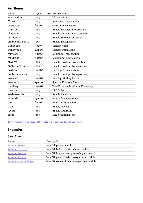#### **Attributes**

| Name             | <b>Type</b>         | $q/s$ Description                    |
|------------------|---------------------|--------------------------------------|
| windowsize       | long                | <b>Window Size</b>                   |
| fftover          | long                | <b>Frequency Oversampling</b>        |
| oversamp         | float64             | <b>Oversampling Factor</b>           |
| transients       | long                | <b>Enable Transient Preservation</b> |
| shapeinv         | long                | <b>Enable Wave Form Preservation</b> |
| stereopres       | long                | <b>Enable Stereo Preservation</b>    |
| enable-transpose | long                | <b>Enable Transposition</b>          |
| transpose        | float <sub>64</sub> | Transposition                        |
| transmode        | symbol              | <b>Transposition Mode</b>            |
| mintrans         | float64             | <b>Minimum Transposition</b>         |
| maxtrans         | float <sub>64</sub> | <b>Maximum Transposition</b>         |
| envpres          | long                | <b>Enable Envelope Preservation</b>  |
| enable-envtrans  | long                | <b>Enable Envelope Transposition</b> |
| envtrans         | float64             | <b>Envelope Transposition</b>        |
| enable-envscale  | long                | <b>Enable Envelope Transposition</b> |
| envscale         | float64             | <b>Envelope Scaling Factor</b>       |
| envmode          | symbol              | Spectral Envelope Mode               |
| maxfreq          | float64             | True Envelope Maximum Frequency      |
| Ipcorder         | long                | <b>LPC</b> Order                     |
| enable-remix     | long                | <b>Enable Remixing</b>               |
| sinmode          | symbol              | Sinusoids Remix Mode                 |
| remix            | float64             | <b>Remixing Parameters</b>           |
| play             | long                | <b>Enable Playing</b>                |
| record           | long                | <b>Enable Recording</b>              |
| scrub            | long                | <b>Scrub Position Mode</b>           |

[Information for box attributes common to all objects](file:///Applications/Max5/patches/docs/refpages/max-ref/jbox.maxref.xml)

# **Examples**

| Name                  | Description                                  |
|-----------------------|----------------------------------------------|
| supervp.play~         | SuperVP player module                        |
| supervp.scrub~        | SuperVP buffer transformation module         |
| supervp.trans~        | SuperVP input stream processing module       |
| supervp.cross~        | SuperVP generalized cross-synthesis module   |
| supervp.sourcefilter~ | SuperVP source-filter cross-synthesis module |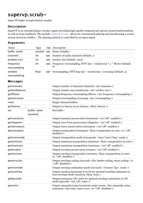# supervp.scrub~

*SuperVP buffer transformation module*

#### **Description**

SuperVP is an extended phase vocoder engine providing high-quality temporal and spectal sound transformations as well as cross-synthesis. The module supervp.scrub~ allows for continuously playing and transforming a sound stream stored in a buffer~. The playing position is controlled by an input signal.

#### **Arguments**

| Name                      | Tupe   | Opt Description                                                                                |
|---------------------------|--------|------------------------------------------------------------------------------------------------|
| buffer name               | symbol | opt Name of buffer $\sim$                                                                      |
| channels                  | int    | <b>opt</b> Number of audio channels (default: 1)                                               |
| window size               | int    | opt window size (default: 1024)                                                                |
| frequency<br>oversampling | int    | opt Frequency oversampling, STFT size = windowsize $*$ 2 $\land$ fftover (default:<br>$\Omega$ |
| window<br>oversampling    | float  | opt Oversampling, STFT hop size = windowsize / oversamp (default: 4)                           |

| getchannels   |                         | Output number of channels (channels <int: channels="">)</int:>                                                                                                 |
|---------------|-------------------------|----------------------------------------------------------------------------------------------------------------------------------------------------------------|
| getwindowsize |                         | Output window size (windowsize <int: size="" window="">)</int:>                                                                                                |
| getfftover    |                         | Output frequency oversampling (fftover <int: frequency="" oversampling="">)</int:>                                                                             |
| getoversamp   |                         | Output oversampling (oversamp <int: oversampling="">)</int:>                                                                                                   |
| reset         |                         | <b>Empty internal buffers</b>                                                                                                                                  |
| getlatency    |                         | Output i/o latency in ms (latency <float: latency="">)</float:>                                                                                                |
| set           | buffer name<br>[symbol] | Set buffer~                                                                                                                                                    |
| gettransients |                         | Output transient preservation (transients <'on' 'off': enabled>)                                                                                               |
| getshapeinv   |                         | Output wave form preservation (shapeiny <'on' 'off': enabled>)                                                                                                 |
| getstereopres |                         | Output stereo preservation (stereopres <'on' 'off': enabled>)                                                                                                  |
| gettranspose  |                         | Output transposition (transpose <float: cent="" in="" transposition=""> or &lt;'off':<br/>disabled&gt;)</float:>                                               |
| gettransmode  |                         | Output transposition mode (transmode <'time' 'auto' 'freq': mode>)                                                                                             |
| getmintrans   |                         | Output minimum transposition (mintrans <float: cent="" in="" transposition="">)</float:>                                                                       |
| getmaxtrans   |                         | Output maximum transposition (maxtrans <'on' 'off': enabled>)                                                                                                  |
| getenvpres    |                         | Output envelope preservation (envpres <'on' 'off': enabled>)                                                                                                   |
| getenvtrans   |                         | Output envelope transposition (envtrans <float: cent="" in="" transposition=""><br/>or &lt;'off': disabled&gt;)</float:>                                       |
| getenvscale   |                         | Output envelope scaling (envscale <list: mean="" scaling="" scaling,="" timbre=""> or<br/>&lt;'off': disabled&gt;)</list:>                                     |
| getenvmode    |                         | Output envelope estimation mode (envmode <'trueenv' 'lpc': mode>)                                                                                              |
| getmaxfreq    |                         | Output maxfreq maximum fo in Hz for spectral envelope estimation in<br>true envelope mode (maxfreq <float: freq="">)</float:>                                  |
| getlpcorder   |                         | Output maximum LPC order for spectral envelope estimation in LPC<br>mode (lpcorder <int: lpc="" order="">)</int:>                                              |
| getremix      |                         | Output sinusoids/noise/transients remix (remix <list: noise,<br="" sinusoids,="">transients, relax time, noise error &gt; or &lt;'off': disabled &gt;)</list:> |
|               |                         |                                                                                                                                                                |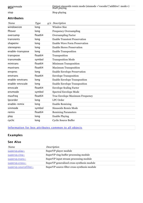| getsinmode<br>start | — Qutput sinusoids remix mode (sinmode <'vocoder' 'additive': mode>)<br>Start playing |
|---------------------|---------------------------------------------------------------------------------------|
| stop                | Stop playing                                                                          |

#### **Attributes**

| Name             | <b>Type</b>         | $g/s$ Description                    |
|------------------|---------------------|--------------------------------------|
| windowsize       | long                | <b>Window Size</b>                   |
| fftover          | long                | <b>Frequency Oversampling</b>        |
| oversamp         | float <sub>64</sub> | <b>Oversampling Factor</b>           |
| transients       | long                | <b>Enable Transient Preservation</b> |
| shapeinv         | long                | <b>Enable Wave Form Preservation</b> |
| stereopres       | long                | <b>Enable Stereo Preservation</b>    |
| enable-transpose | long                | <b>Enable Transposition</b>          |
| transpose        | float64             | Transposition                        |
| transmode        | symbol              | <b>Transposition Mode</b>            |
| mintrans         | float64             | Minimum Transposition                |
| maxtrans         | float64             | <b>Maximum Transposition</b>         |
| envpres          | long                | <b>Enable Envelope Preservation</b>  |
| envtrans         | float <sub>64</sub> | <b>Envelope Transposition</b>        |
| enable-envtrans  | long                | <b>Enable Envelope Transposition</b> |
| enable-envscale  | long                | <b>Enable Envelope Transposition</b> |
| envscale         | float64             | <b>Envelope Scaling Factor</b>       |
| envmode          | symbol              | Spectral Envelope Mode               |
| maxfreq          | float64             | True Envelope Maximum Frequency      |
| Ipcorder         | long                | LPC Order                            |
| enable-remix     | long                | <b>Enable Remixing</b>               |
| sinmode          | symbol              | Sinusoids Remix Mode                 |
| remix            | float <sub>64</sub> | <b>Remixing Parameters</b>           |
| play             | long                | <b>Enable Playing</b>                |
| cyclic           | long                | <b>Cyclic Source Buffer</b>          |

#### [Information for box attributes common to all objects](file:///Applications/Max5/patches/docs/refpages/max-ref/jbox.maxref.xml)

# **Examples**

| Name                  | Description                                  |
|-----------------------|----------------------------------------------|
| supervp.play~         | SuperVP player module                        |
| $supervp.ring \sim$   | SuperVP ring-buffer processing module        |
| supervp.trans~        | SuperVP input stream processing module       |
| subery. cross~        | SuperVP generalized cross-synthesis module   |
| supervp.sourcefilter~ | SuperVP source-filter cross-synthesis module |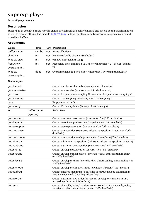# supervp.play~

*SuperVP player module*

#### **Description**

SuperVP is an extended phase vocoder engine providing high-quality temporal and spectal sound transformations as well as cross-synthesis. The module supervp.play~ allows for playing and transforming segments of a sound stored in a buffer~.

#### **Arguments**

| Name                      | Tupe   | Opt Description                                                                                |
|---------------------------|--------|------------------------------------------------------------------------------------------------|
| buffer name               | symbol | opt Name of buffer $\sim$                                                                      |
| channels                  | int    | <b>opt</b> Number of audio channels (default: 1)                                               |
| window size               | int    | opt window size (default: 1024)                                                                |
| frequency<br>oversampling | int    | opt Frequency oversampling, STFT size = windowsize $*$ 2 $\land$ fftover (default:<br>$\Omega$ |
| window<br>oversampling    | float  | opt Oversampling, STFT hop size = windowsize / oversamp (default: 4)                           |

| getchannels   |                         | Output number of channels (channels <int: channels="">)</int:>                                                                                                 |
|---------------|-------------------------|----------------------------------------------------------------------------------------------------------------------------------------------------------------|
| getwindowsize |                         | Output window size (windowsize <int: size="" window="">)</int:>                                                                                                |
| getfftover    |                         | Output frequency oversampling (fftover <int: frequency="" oversampling="">)</int:>                                                                             |
| getoversamp   |                         | Output oversampling (oversamp <int: oversampling="">)</int:>                                                                                                   |
| reset         |                         | <b>Empty internal buffers</b>                                                                                                                                  |
| getlatency    |                         | Output i/o latency in ms (latency <float: latency="">)</float:>                                                                                                |
| set           | buffer name<br>[symbol] | Set buffer~                                                                                                                                                    |
| gettransients |                         | Output transient preservation (transients <'on' 'off': enabled>)                                                                                               |
| getshapeinv   |                         | Output wave form preservation (shapeiny <'on' 'off': enabled>)                                                                                                 |
| getstereopres |                         | Output stereo preservation (stereopres <'on' 'off': enabled>)                                                                                                  |
| gettranspose  |                         | Output transposition (transpose <float: cent="" in="" transposition=""> or &lt;'off':<br/>disabled&gt;)</float:>                                               |
| gettransmode  |                         | Output transposition mode (transmode <'time' 'auto' 'freq': mode>)                                                                                             |
| getmintrans   |                         | Output minimum transposition (mintrans <float: cent="" in="" transposition="">)</float:>                                                                       |
| getmaxtrans   |                         | Output maximum transposition (maxtrans <'on' 'off': enabled>)                                                                                                  |
| getenvpres    |                         | Output envelope preservation (envpres <'on' 'off': enabled>)                                                                                                   |
| getenvtrans   |                         | Output envelope transposition (envtrans <float: cent="" in="" transposition=""><br/>or <math>\langle</math> off: disabled&gt;)</float:>                        |
| getenvscale   |                         | Output envelope scaling (envscale < list: timbre scaling, mean scaling > or<br><'off': disabled>)                                                              |
| getenvmode    |                         | Output envelope estimation mode (envmode <'trueenv' 'lpc': mode>)                                                                                              |
| getmaxfreq    |                         | Output maxfreq maximum fo in Hz for spectral envelope estimation in<br>true envelope mode (maxfreq <float: freq="">)</float:>                                  |
| getlpcorder   |                         | Output maximum LPC order for spectral envelope estimation in LPC<br>mode (lpcorder <int: lpc="" order="">)</int:>                                              |
| getremix      |                         | Output sinusoids/noise/transients remix (remix <list: noise,<br="" sinusoids,="">transients, relax time, noise error &gt; or &lt;'off': disabled &gt;)</list:> |
|               |                         |                                                                                                                                                                |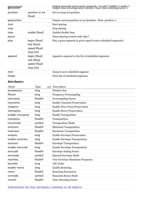| getsinmode  |                                                             | Output sinusoids remix mode (sinmode_<'vocoder' 'additive'; mode>)<br>Output time-streching factor (stretch <float: factor="" time-streching="">)</float:> |
|-------------|-------------------------------------------------------------|------------------------------------------------------------------------------------------------------------------------------------------------------------|
| position    | position in ms<br>[float]                                   | Set (or jump to) position                                                                                                                                  |
| getposition |                                                             | Output current position in ms (position < float: position >)                                                                                               |
| start       |                                                             | Start playing                                                                                                                                              |
| stop        |                                                             | Stop playing                                                                                                                                               |
| loop        | enable [bool]                                               | Enable/disable loop                                                                                                                                        |
| pause       |                                                             | Pause playing (restart with 'play')                                                                                                                        |
| play        | begin [float]<br>end [float]<br>speed [float]<br>loop [int] | Play a given segment in given speed (resets scheduled segments)                                                                                            |
| append      | begin [float]<br>end [float]<br>speed [float]<br>loop [int] | Append a segment to the list of scheduled segments                                                                                                         |
| next        |                                                             | Jump to next scheduled segment                                                                                                                             |
| forget      |                                                             | Clear list of scheduled segments                                                                                                                           |

## Attributes Attributes

| Name             | <b>Type</b>         | $q/s$ Description                    |
|------------------|---------------------|--------------------------------------|
| windowsize       | long                | <b>Window Size</b>                   |
| fftover          | long                | <b>Frequency Oversampling</b>        |
| oversamp         | float <sub>64</sub> | <b>Oversampling Factor</b>           |
| transients       | long                | <b>Enable Transient Preservation</b> |
| shapeinv         | long                | <b>Enable Wave Form Preservation</b> |
| stereopres       | long                | <b>Enable Stereo Preservation</b>    |
| enable-transpose | long                | <b>Enable Transposition</b>          |
| transpose        | float64             | Transposition                        |
| transmode        | symbol              | <b>Transposition Mode</b>            |
| mintrans         | float64             | <b>Minimum Transposition</b>         |
| maxtrans         | float64             | <b>Maximum Transposition</b>         |
| envpres          | long                | <b>Enable Envelope Preservation</b>  |
| enable-envtrans  | long                | <b>Enable Envelope Transposition</b> |
| envtrans         | float <sub>64</sub> | <b>Envelope Transposition</b>        |
| enable-envscale  | long                | <b>Enable Envelope Transposition</b> |
| envscale         | float <sub>64</sub> | <b>Envelope Scaling Factor</b>       |
| envmode          | symbol              | Spectral Envelope Mode               |
| maxfreq          | float64             | True Envelope Maximum Frequency      |
| Ipcorder         | long                | <b>LPC</b> Order                     |
| enable-remix     | long                | <b>Enable Remixing</b>               |
| remix            | float64             | <b>Remixing Parameters</b>           |
| sinmode          | symbol              | Sinusoids Remix Mode                 |
| stretch          | float <sub>64</sub> | <b>Time-Streching Factor</b>         |

[Information for box attributes common to all objects](file:///Applications/Max5/patches/docs/refpages/max-ref/jbox.maxref.xml)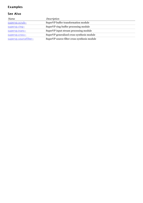## **Examples**

| Name                  | Description                                  |
|-----------------------|----------------------------------------------|
| supervp.scrub~        | SuperVP buffer transformation module         |
| $supervp.ring \sim$   | SuperVP ring-buffer processing module        |
| supervp.trans~        | SuperVP input stream processing module       |
| supervp.cross~        | SuperVP generalized cross-synthesis module   |
| supervp.sourcefilter~ | SuperVP source-filter cross-synthesis module |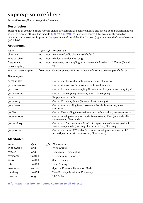# supervp.sourcefilter~

*SuperVP source-filter cross-synthesis module*

#### **Description**

SuperVP is an extended phase vocoder engine providing high-quality temporal and spectal sound transformations as well as cross-synthesis. The module supervp.sourcefilter~ performs source-filter cross-synthesis to two incoming sound streams, imprinting the spectral envelope of the 'filter' stream (right inlets) to the 'source' stream (left inlets).

#### Arguments Arguments

| Name                      |     | Type Opt Description                                                                           |
|---------------------------|-----|------------------------------------------------------------------------------------------------|
| channels                  | int | <b>opt</b> Number of audio channels (default: 1)                                               |
| window size               | int | <b>opt</b> window size (default: 1024)                                                         |
| frequency<br>oversampling | int | opt Frequency oversampling, STFT size = windowsize $*$ 2 $\land$ fftover (default:<br>$\Omega$ |
| window oversampling       |     | float opt Oversampling, STFT hop size = windowsize / oversamp (default: 4)                     |

#### **Messages**

| getchannels   | Output number of channels (channels <int: channels="">)</int:>                                                                                           |
|---------------|----------------------------------------------------------------------------------------------------------------------------------------------------------|
| getwindowsize | Output window size (windowsize <int: size="" window="">)</int:>                                                                                          |
| getfftover    | Output frequency oversampling (fftover <int: frequency="" oversampling="">)</int:>                                                                       |
| getoversamp   | Output oversampling (oversamp <int: oversampling="">)</int:>                                                                                             |
| reset         | Empty internal buffers                                                                                                                                   |
| getlatency    | Output i/o latency in ms (latency <float: latency="">)</float:>                                                                                          |
| getsource     | Output source scaling factors (source <list: mean<br="" scaling,="" timbre="">scaling&gt;)</list:>                                                       |
| getfilter     | Output filter scaling factors (filter < list: timbre scaling, mean scaling >)                                                                            |
| getenvmode    | Output envelope estimation mode for source and filter (envmode <list:<br>source mode, filter mode&gt;)</list:<br>                                        |
| getmaxfreq    | Output maxfreq maximum fo in Hz for spectral envelope estimation in<br>true envelope mode (maxfreq <list: filter="" freq="" freq,="" source="">)</list:> |
| getlpcorder   | Output maximum LPC order for spectral envelope estimation in LPC<br>mode (lpcorder <list: filter="" order="" order,="" source="">)</list:>               |

#### Attributes Attributes

| Name       | Type                | q/s | Description                              |
|------------|---------------------|-----|------------------------------------------|
| windowsize | long                |     | <b>Window Size</b>                       |
| fftover    | long                |     | <b>Frequency Oversampling</b>            |
| oversamp   | float <sub>64</sub> |     | <b>Oversampling Factor</b>               |
| source     | float <sub>64</sub> |     | Source Scaling                           |
| filter     | float <sub>64</sub> |     | <b>Filter Scaling</b>                    |
| envmode    | symbol              |     | <b>Spectral Envelope Estimation Mode</b> |
| maxfreq    | float <sub>64</sub> |     | True Envelope Maximum Frequency          |
| Ipcorder   | long                |     | LPC Order                                |

[Information for box attributes common to all objects](file:///Applications/Max5/patches/docs/refpages/max-ref/jbox.maxref.xml)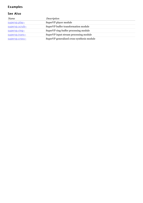## **Examples**

| Name            | Description                                |  |
|-----------------|--------------------------------------------|--|
| supervp.play~   | SuperVP player module                      |  |
| subery.scrub~   | SuperVP buffer transformation module       |  |
| supervp.ring~   | SuperVP ring-buffer processing module      |  |
| supervp.trans~  | SuperVP input stream processing module     |  |
| supervp. cross~ | SuperVP generalized cross-synthesis module |  |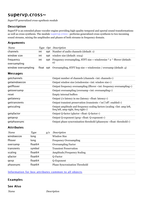# supervp.cross~

*SuperVP generalized cross-synthesis module*

#### **Description**

SuperVP is an extended phase vocoder engine providing high-quality temporal and spectal sound transformations as well as cross-synthesis. The module supervp.cross~ performs generalized cross-synthesis to two incoming sound streams, mixing the amplitudes and phases of both streams in frequency domain.

#### Arguments Arguments

| Name                      |     | Type Opt Description                                                                           |
|---------------------------|-----|------------------------------------------------------------------------------------------------|
| channels                  | int | <b>opt</b> Number of audio channels (default: 1)                                               |
| window size               | int | opt window size (default: 1024)                                                                |
| frequency<br>oversampling | int | opt Frequency oversampling, STFT size = windowsize $*$ 2 $\land$ fftover (default:<br>$\Omega$ |
| window oversampling       |     | float opt Oversampling, STFT hop size = windowsize / oversamp (default: 4)                     |

#### **Messages**

| getchannels   | Output number of channels (channels <int: channels="">)</int:>                                                                  |
|---------------|---------------------------------------------------------------------------------------------------------------------------------|
| getwindowsize | Output window size (windowsize <int: size="" window="">)</int:>                                                                 |
| getfftover    | Output frequency oversampling (fftover <int: frequency="" oversampling="">)</int:>                                              |
| getoversamp   | Output oversampling (oversamp <int: oversampling="">)</int:>                                                                    |
| reset         | Empty internal buffers                                                                                                          |
| getlatency    | Output i/o latency in ms (latency <float: latency="">)</float:>                                                                 |
| gettransients | Output transient preservation (transients <'on' 'off': enabled>)                                                                |
| getscaling    | Output amplitude and frequency scaling factors (scaling <list: amp="" left,<br="">freq left, amp right, freq right&gt;)</list:> |
| getgfactor    | Output Q-factor (qfactor <float: q-factor="">)</float:>                                                                         |
| getgexp       | Output Q-exponent (qexp <float: q-exponent="">)</float:>                                                                        |
| getphasesync  | Output phase syncronisation threshold (phasesync <float: threshold="">)</float:>                                                |
|               |                                                                                                                                 |

#### Attributes Attributes

| Name       | Type                | g/s | Description                           |
|------------|---------------------|-----|---------------------------------------|
| windowsize | long                |     | <b>Window Size</b>                    |
| fftover    | long                |     | <b>Frequency Oversampling</b>         |
| oversamp   | float <sub>64</sub> |     | <b>Oversampling Factor</b>            |
| transients | symbol              |     | <b>Transient Preservation</b>         |
| scaling    | float <sub>64</sub> |     | Amplitude/Frequency Scaling           |
| qfactor    | float <sub>64</sub> |     | Q-Factor                              |
| qexp       | float <sub>64</sub> |     | Q-Exponent                            |
| phasesync  | float <sub>64</sub> |     | <b>Phase Syncronisation Threshold</b> |

#### [Information for box attributes common to all objects](file:///Applications/Max5/patches/docs/refpages/max-ref/jbox.maxref.xml)

## **Examples**